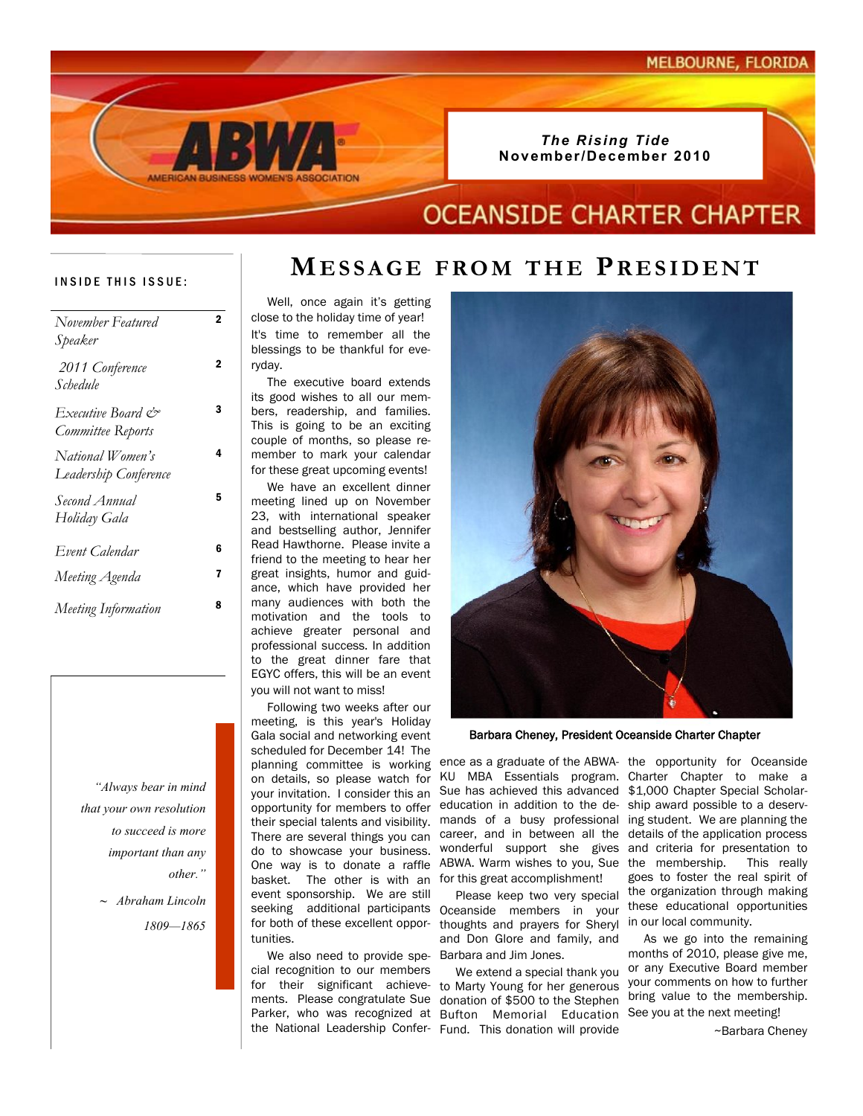#### *The Rising Tide* **November/December 2010**

## **OCEANSIDE CHARTER CHAPTER**

#### INSIDE THIS ISSUE:

| November Featured<br>Speaker              | 2 |
|-------------------------------------------|---|
| 2011 Conference<br>Schedule               | 2 |
| Executive Board &<br>Committee Reports    | 3 |
| National Women's<br>Leadership Conference | 4 |
| Second Annual<br>Holiday Gala             | 5 |
| Event Calendar                            | 6 |
| Meeting Agenda                            | 7 |
| Meeting Information                       | 8 |

*"Always bear in mind that your own resolution to succeed is more important than any other."* 

> *~ Abraham Lincoln 1809—1865*

 Well, once again it's getting close to the holiday time of year! It's time to remember all the blessings to be thankful for everyday.

 The executive board extends its good wishes to all our members, readership, and families. This is going to be an exciting couple of months, so please remember to mark your calendar for these great upcoming events!

 We have an excellent dinner meeting lined up on November 23, with international speaker and bestselling author, Jennifer Read Hawthorne. Please invite a friend to the meeting to hear her great insights, humor and guidance, which have provided her many audiences with both the motivation and the tools to achieve greater personal and professional success. In addition to the great dinner fare that EGYC offers, this will be an event you will not want to miss!

 Following two weeks after our meeting, is this year's Holiday Gala social and networking event scheduled for December 14! The planning committee is working ence as a graduate of the ABWA- the opportunity for Oceanside your invitation. I consider this an do to showcase your business. basket. The other is with an for this great accomplishment! event sponsorship. We are still for both of these excellent opportunities.

 We also need to provide spe-Barbara and Jim Jones. cial recognition to our members



Barbara Cheney, President Oceanside Charter Chapter

on details, so please watch for KU MBA Essentials program. Charter Chapter to make a opportunity for members to offer education in addition to the de-ship award possible to a deservtheir special talents and visibility. mands of a busy professional ing student. We are planning the There are several things you can career, and in between all the details of the application process One way is to donate a raffle ABWA. Warm wishes to you, Sue the membership. This really Sue has achieved this advanced \$1,000 Chapter Special Scholarwonderful support she gives

seeking additional participants Oceanside members in your Please keep two very special thoughts and prayers for Sheryl in our local community. and Don Glore and family, and

for their significant achieve-to Marty Young for her generous ments. Please congratulate Sue donation of \$500 to the Stephen Parker, who was recognized at Bufton Memorial Education See you at the next meeting! the National Leadership Confer-Fund. This donation will provide We extend a special thank you

and criteria for presentation to goes to foster the real spirit of the organization through making these educational opportunities

 As we go into the remaining months of 2010, please give me, or any Executive Board member your comments on how to further bring value to the membership.

~Barbara Cheney

## **MESSAGE FROM THE PRESIDENT**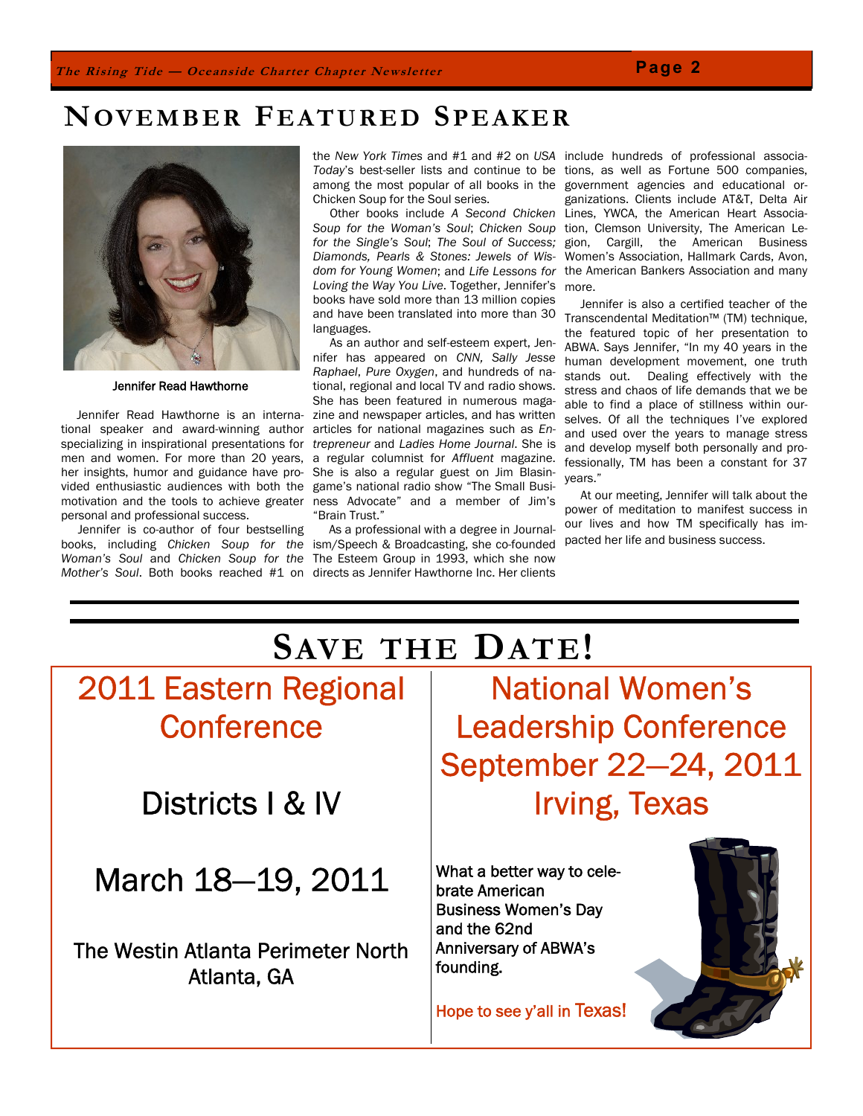# **NOVEMBER FEATURED SPEAKER**



Jennifer Read Hawthorne

 Jennifer Read Hawthorne is an international speaker and award-winning author specializing in inspirational presentations for men and women. For more than 20 years, her insights, humor and guidance have provided enthusiastic audiences with both the game's national radio show "The Small Busimotivation and the tools to achieve greater ness Advocate" and a member of Jim's personal and professional success.

Jennifer is co-author of four bestselling books, including *Chicken Soup for the*  ism/Speech & Broadcasting, she co-founded *Woman's Soul* and *Chicken Soup for the*  The Esteem Group in 1993, which she now

the *New York Times* and #1 and #2 on *USA*  include hundreds of professional associa-*Today*'s best-seller lists and continue to be tions, as well as Fortune 500 companies, among the most popular of all books in the government agencies and educational or-Chicken Soup for the Soul series.

*Soup for the Woman's Soul*; *Chicken Soup*  tion, Clemson University, The American Le*for the Single's Soul*; *The Soul of Success; Diamonds, Pearls & Stones: Jewels of Wisdom for Young Women*; and *Life Lessons for*  the American Bankers Association and many *Loving the Way You Live*. Together, Jennifer's books have sold more than 13 million copies and have been translated into more than 30 languages.

As an author and self-esteem expert, Jennifer has appeared on *CNN, Sally Jesse Raphael*, *Pure Oxygen*, and hundreds of national, regional and local TV and radio shows. She has been featured in numerous magazine and newspaper articles, and has written articles for national magazines such as *Entrepreneur* and *Ladies Home Journal*. She is a regular columnist for *Affluent* magazine. She is also a regular guest on Jim Blasin-"Brain Trust."

*Mother's Soul*. Both books reached #1 on directs as Jennifer Hawthorne Inc. Her clients As a professional with a degree in Journal-

Other books include *A Second Chicken*  Lines, YWCA, the American Heart Associaganizations. Clients include AT&T, Delta Air gion, Cargill, the American Business Women's Association, Hallmark Cards, Avon, more.

> Jennifer is also a certified teacher of the Transcendental Meditation™ (TM) technique, the featured topic of her presentation to ABWA. Says Jennifer, "In my 40 years in the human development movement, one truth stands out. Dealing effectively with the stress and chaos of life demands that we be able to find a place of stillness within ourselves. Of all the techniques I've explored and used over the years to manage stress and develop myself both personally and professionally, TM has been a constant for 37 years."

> At our meeting, Jennifer will talk about the power of meditation to manifest success in our lives and how TM specifically has impacted her life and business success.

## **SAVE THE DATE!** 2011 Eastern Regional **Conference** Districts I & IV March 18—19, 2011 The Westin Atlanta Perimeter North Atlanta, GA National Women's Leadership Conference September 22—24, 2011 Irving, Texas What a better way to celebrate American Business Women's Day and the 62nd Anniversary of ABWA's founding. Hope to see y'all in Texas!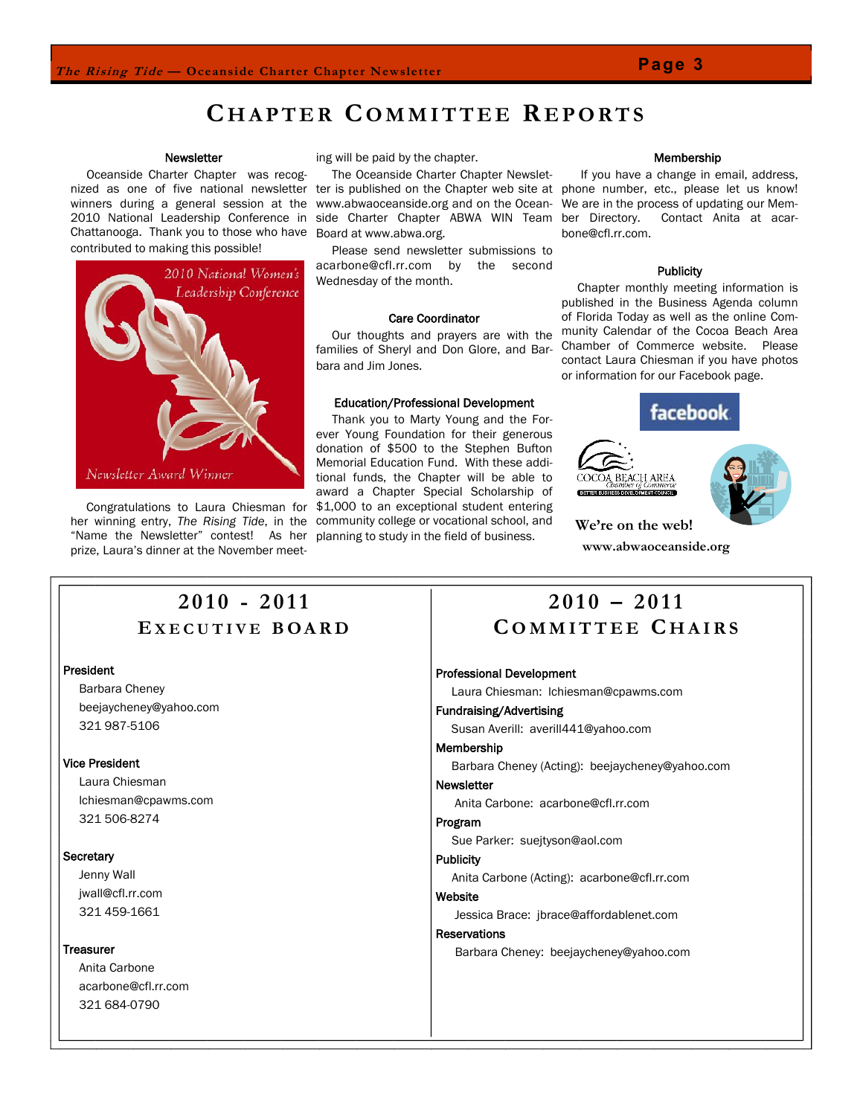#### **Newsletter**

 Oceanside Charter Chapter was recognized as one of five national newsletter ter is published on the Chapter web site at phone number, etc., please let us know! winners during a general session at the www.abwaoceanside.org and on the Ocean-2010 National Leadership Conference in side Charter Chapter ABWA WIN Team Chattanooga. Thank you to those who have Board at www.abwa.org. contributed to making this possible!



 Congratulations to Laura Chiesman for her winning entry, *The Rising Tide*, in the "Name the Newsletter" contest! As her prize, Laura's dinner at the November meet-

ing will be paid by the chapter.

The Oceanside Charter Chapter Newslet-

 Please send newsletter submissions to acarbone@cfl.rr.com by the second Wednesday of the month.

#### Care Coordinator

 Our thoughts and prayers are with the families of Sheryl and Don Glore, and Barbara and Jim Jones.

#### Education/Professional Development

 Thank you to Marty Young and the Forever Young Foundation for their generous donation of \$500 to the Stephen Bufton Memorial Education Fund. With these additional funds, the Chapter will be able to award a Chapter Special Scholarship of \$1,000 to an exceptional student entering community college or vocational school, and planning to study in the field of business.

#### Membership

 If you have a change in email, address, We are in the process of updating our Mem-Contact Anita at acarbone@cfl.rr.com.

#### **Publicity**

 Chapter monthly meeting information is published in the Business Agenda column of Florida Today as well as the online Community Calendar of the Cocoa Beach Area Chamber of Commerce website. Please contact Laura Chiesman if you have photos or information for our Facebook page.







**We're on the web! www.abwaoceanside.org**

## **2 0 1 0 - 2 0 1 1 E X E C U T I V E B O A R D**

#### President

 Barbara Cheney beejaycheney@yahoo.com 321 987-5106

#### Vice President

 Laura Chiesman lchiesman@cpawms.com 321 506-8274

#### **Secretary**

 Jenny Wall jwall@cfl.rr.com 321 459-1661

#### **Treasurer**

 Anita Carbone acarbone@cfl.rr.com 321 684-0790

## **2 0 1 0 – 2 0 1 1 C O M M I T T E E C H A I R S**

#### Professional Development

Laura Chiesman: lchiesman@cpawms.com

#### Fundraising/Advertising

Susan Averill: averill441@yahoo.com

#### Membership

Barbara Cheney (Acting): beejaycheney@yahoo.com

#### **Newsletter**

Anita Carbone: acarbone@cfl.rr.com

#### Program

Sue Parker: suejtyson@aol.com

#### **Publicity**

Anita Carbone (Acting): acarbone@cfl.rr.com

#### Website

Jessica Brace: jbrace@affordablenet.com

#### **Reservations**

Barbara Cheney: beejaycheney@yahoo.com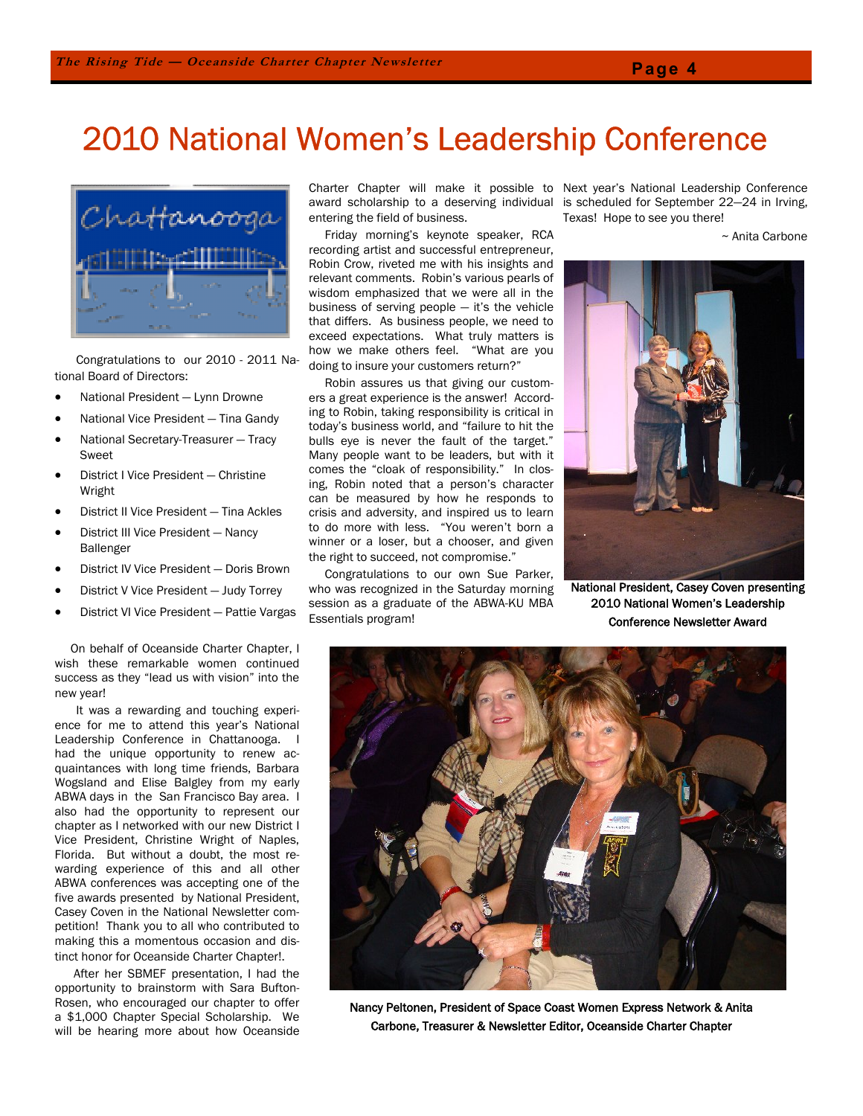# 2010 National Women's Leadership Conference



 Congratulations to our 2010 - 2011 National Board of Directors:

- National President Lynn Drowne
- National Vice President Tina Gandy
- National Secretary-Treasurer Tracy Sweet
- District I Vice President Christine Wright
- District II Vice President Tina Ackles
- District III Vice President Nancy Ballenger
- District IV Vice President Doris Brown
- District V Vice President Judy Torrey
- District VI Vice President Pattie Vargas

 On behalf of Oceanside Charter Chapter, I wish these remarkable women continued success as they "lead us with vision" into the new year!

 It was a rewarding and touching experience for me to attend this year's National Leadership Conference in Chattanooga. I had the unique opportunity to renew acquaintances with long time friends, Barbara Wogsland and Elise Balgley from my early ABWA days in the San Francisco Bay area. I also had the opportunity to represent our chapter as I networked with our new District I Vice President, Christine Wright of Naples, Florida. But without a doubt, the most rewarding experience of this and all other ABWA conferences was accepting one of the five awards presented by National President, Casey Coven in the National Newsletter competition! Thank you to all who contributed to making this a momentous occasion and distinct honor for Oceanside Charter Chapter!.

 After her SBMEF presentation, I had the opportunity to brainstorm with Sara Bufton-Rosen, who encouraged our chapter to offer a \$1,000 Chapter Special Scholarship. We will be hearing more about how Oceanside

award scholarship to a deserving individual entering the field of business.

 Friday morning's keynote speaker, RCA recording artist and successful entrepreneur, Robin Crow, riveted me with his insights and relevant comments. Robin's various pearls of wisdom emphasized that we were all in the business of serving people — it's the vehicle that differs. As business people, we need to exceed expectations. What truly matters is how we make others feel. "What are you doing to insure your customers return?"

 Robin assures us that giving our customers a great experience is the answer! According to Robin, taking responsibility is critical in today's business world, and "failure to hit the bulls eye is never the fault of the target." Many people want to be leaders, but with it comes the "cloak of responsibility." In closing, Robin noted that a person's character can be measured by how he responds to crisis and adversity, and inspired us to learn to do more with less. "You weren't born a winner or a loser, but a chooser, and given the right to succeed, not compromise."

 Congratulations to our own Sue Parker, who was recognized in the Saturday morning session as a graduate of the ABWA-KU MBA Essentials program!

Charter Chapter will make it possible to Next year's National Leadership Conference is scheduled for September 22—24 in Irving, Texas! Hope to see you there!

<sup>~</sup> Anita Carbone



National President, Casey Coven presenting 2010 National Women's Leadership Conference Newsletter Award



Nancy Peltonen, President of Space Coast Women Express Network & Anita Carbone, Treasurer & Newsletter Editor, Oceanside Charter Chapter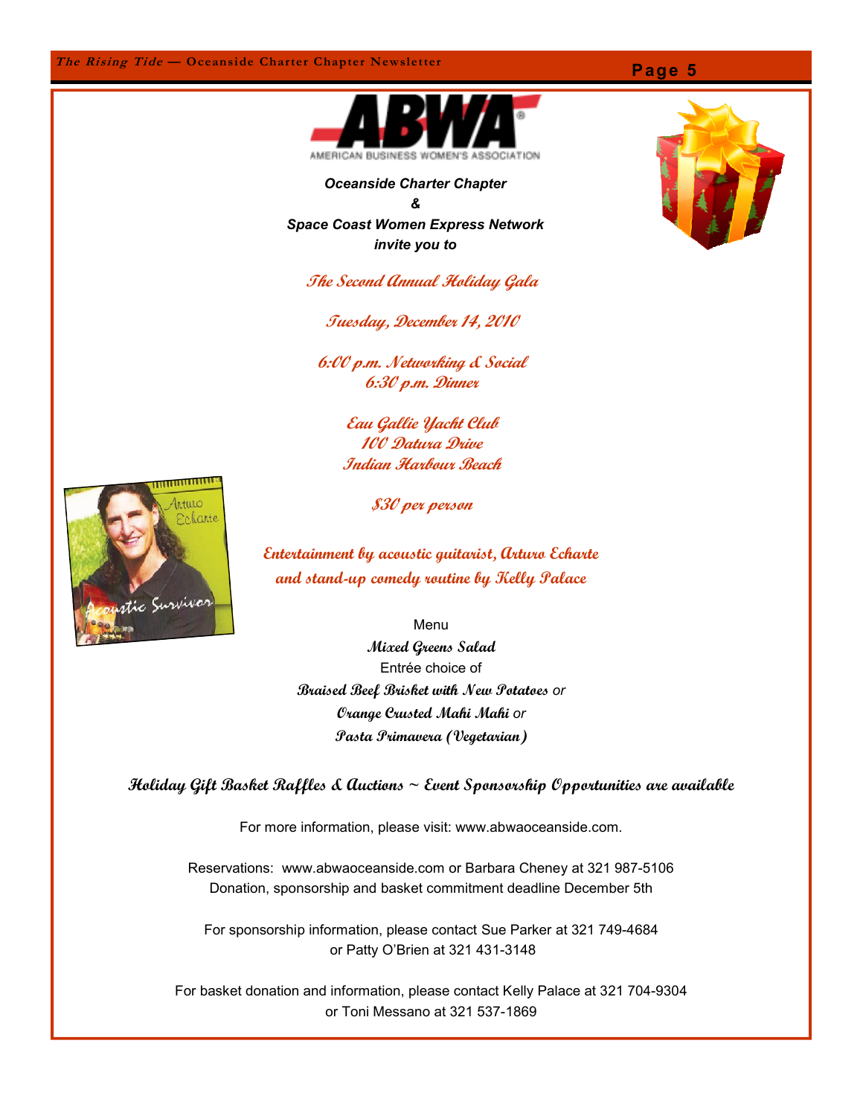

*Oceanside Charter Chapter & Space Coast Women Express Network invite you to*

**The Second Annual Holiday Gala**

**Tuesday, December 14, 2010**

**6:00 p.m. Networking & Social 6:30 p.m. Dinner**

> **Eau Gallie Yacht Club 100 Datura Drive Indian Harbour Beach**



**\$30 per person**

**Entertainment by acoustic guitarist, Arturo Echarte and stand-up comedy routine by Kelly Palace**

Menu

**Mixed Greens Salad** Entrée choice of **Braised Beef Brisket with New Potatoes** *or* **Orange Crusted Mahi Mahi** *or* **Pasta Primavera (Vegetarian)**

**Holiday Gift Basket Raffles & Auctions ~ Event Sponsorship Opportunities are available**

For more information, please visit: www.abwaoceanside.com.

Reservations: www.abwaoceanside.com or Barbara Cheney at 321 987-5106 Donation, sponsorship and basket commitment deadline December 5th

For sponsorship information, please contact Sue Parker at 321 749-4684 or Patty O'Brien at 321 431-3148

For basket donation and information, please contact Kelly Palace at 321 704-9304 or Toni Messano at 321 537-1869

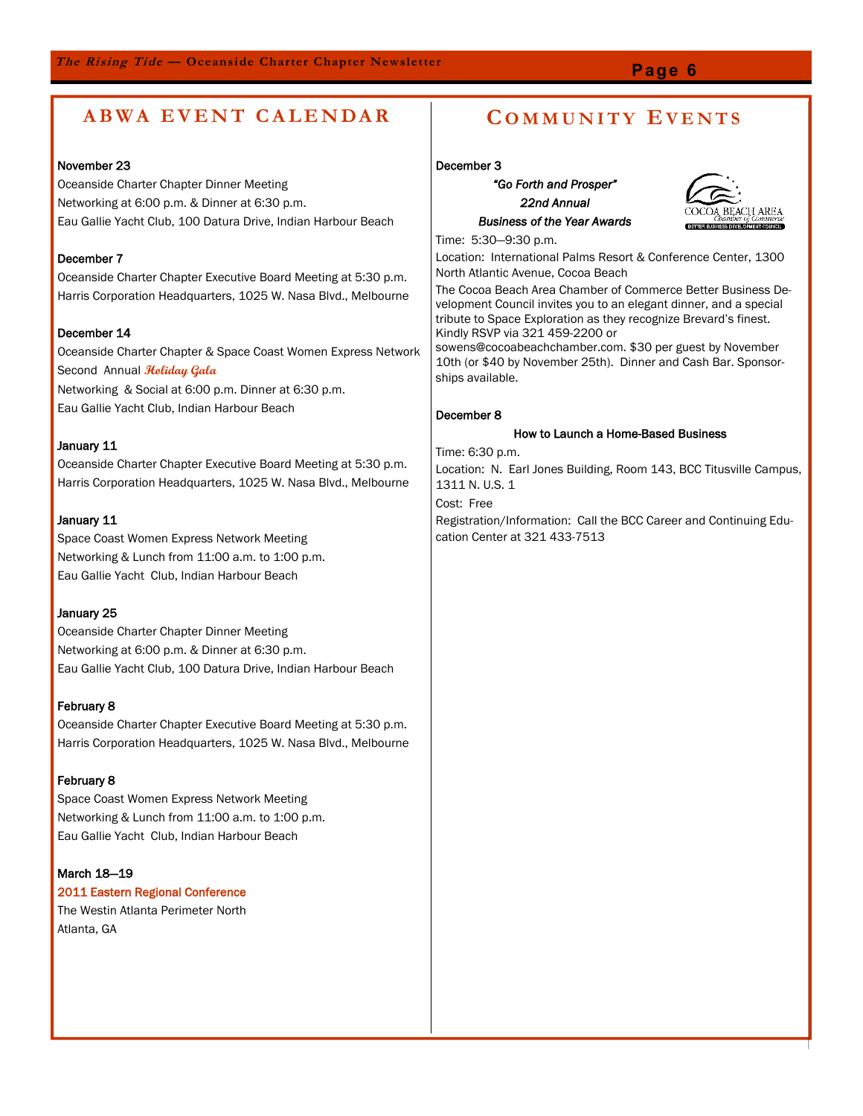## **Page 6**

## **A B W A E V E N T C A L E N DA R C O M M U N I T Y E V E N T S**

#### November 23

Oceanside Charter Chapter Dinner Meeting Networking at 6:00 p.m. & Dinner at 6:30 p.m. Eau Gallie Yacht Club, 100 Datura Drive, Indian Harbour Beach

#### December 7

Oceanside Charter Chapter Executive Board Meeting at 5:30 p.m. Harris Corporation Headquarters, 1025 W. Nasa Blvd., Melbourne

#### December 14

Oceanside Charter Chapter & Space Coast Women Express Network Second Annual **Holiday Gala** Networking & Social at 6:00 p.m. Dinner at 6:30 p.m.

Eau Gallie Yacht Club, Indian Harbour Beach

#### January 11

Oceanside Charter Chapter Executive Board Meeting at 5:30 p.m. Harris Corporation Headquarters, 1025 W. Nasa Blvd., Melbourne

#### January 11

Space Coast Women Express Network Meeting Networking & Lunch from 11:00 a.m. to 1:00 p.m. Eau Gallie Yacht Club, Indian Harbour Beach

#### January 25

Oceanside Charter Chapter Dinner Meeting Networking at 6:00 p.m. & Dinner at 6:30 p.m. Eau Gallie Yacht Club, 100 Datura Drive, Indian Harbour Beach

#### February 8

Oceanside Charter Chapter Executive Board Meeting at 5:30 p.m. Harris Corporation Headquarters, 1025 W. Nasa Blvd., Melbourne

#### February 8

Space Coast Women Express Network Meeting Networking & Lunch from 11:00 a.m. to 1:00 p.m. Eau Gallie Yacht Club, Indian Harbour Beach

#### March 18—19

2011 Eastern Regional Conference

The Westin Atlanta Perimeter North Atlanta, GA

#### December 3

*"Go Forth and Prosper" 22nd Annual Business of the Year Awards*



Time: 5:30—9:30 p.m.

Location: International Palms Resort & Conference Center, 1300 North Atlantic Avenue, Cocoa Beach

The Cocoa Beach Area Chamber of Commerce Better Business Development Council invites you to an elegant dinner, and a special tribute to Space Exploration as they recognize Brevard's finest. Kindly RSVP via 321 459-2200 or

sowens@cocoabeachchamber.com. \$30 per guest by November 10th (or \$40 by November 25th). Dinner and Cash Bar. Sponsorships available.

#### December 8

#### How to Launch a Home-Based Business

Time: 6:30 p.m.

Location: N. Earl Jones Building, Room 143, BCC Titusville Campus, 1311 N. U.S. 1

Cost: Free

Registration/Information: Call the BCC Career and Continuing Education Center at 321 433-7513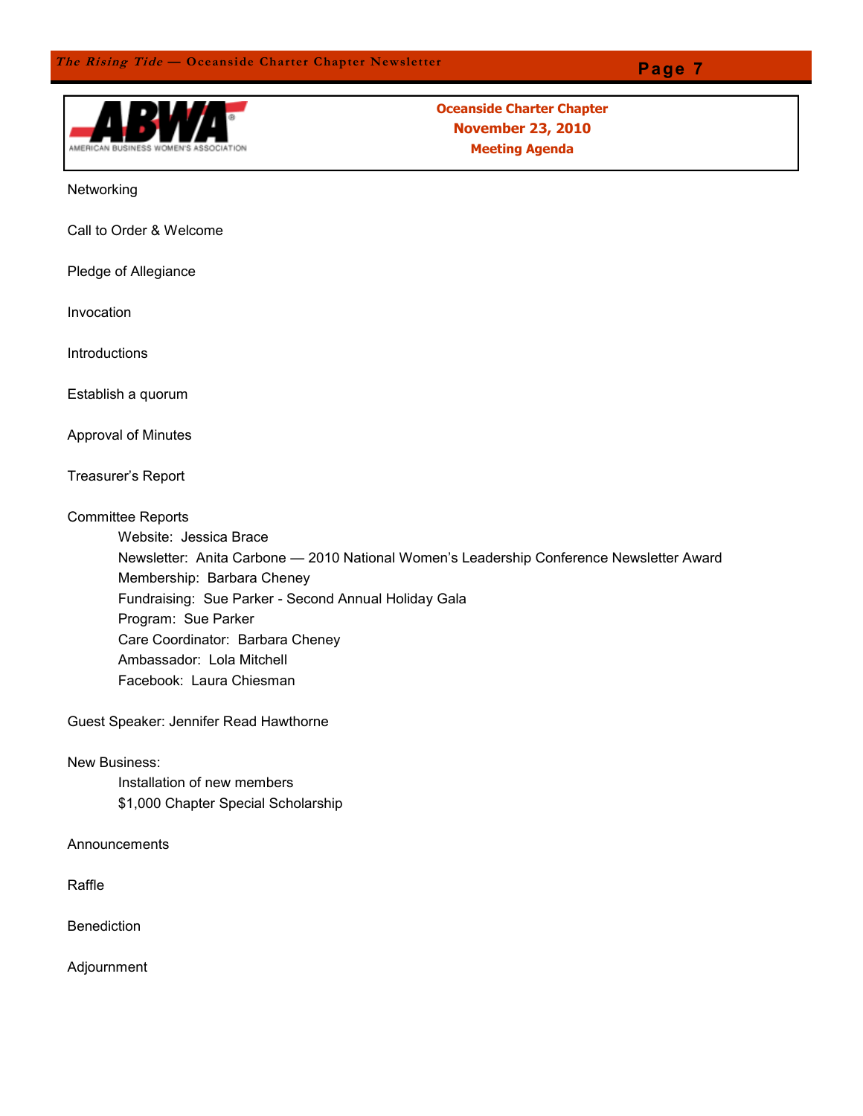

**Oceanside Charter Chapter November 23, 2010 Meeting Agenda**

Networking

Call to Order & Welcome

Pledge of Allegiance

Invocation

Introductions

Establish a quorum

Approval of Minutes

Treasurer's Report

Committee Reports

Website: Jessica Brace

Newsletter: Anita Carbone — 2010 National Women's Leadership Conference Newsletter Award Membership: Barbara Cheney Fundraising: Sue Parker - Second Annual Holiday Gala Program: Sue Parker Care Coordinator: Barbara Cheney Ambassador: Lola Mitchell Facebook: Laura Chiesman

Guest Speaker: Jennifer Read Hawthorne

New Business:

Installation of new members \$1,000 Chapter Special Scholarship

Announcements

Raffle

**Benediction** 

Adjournment